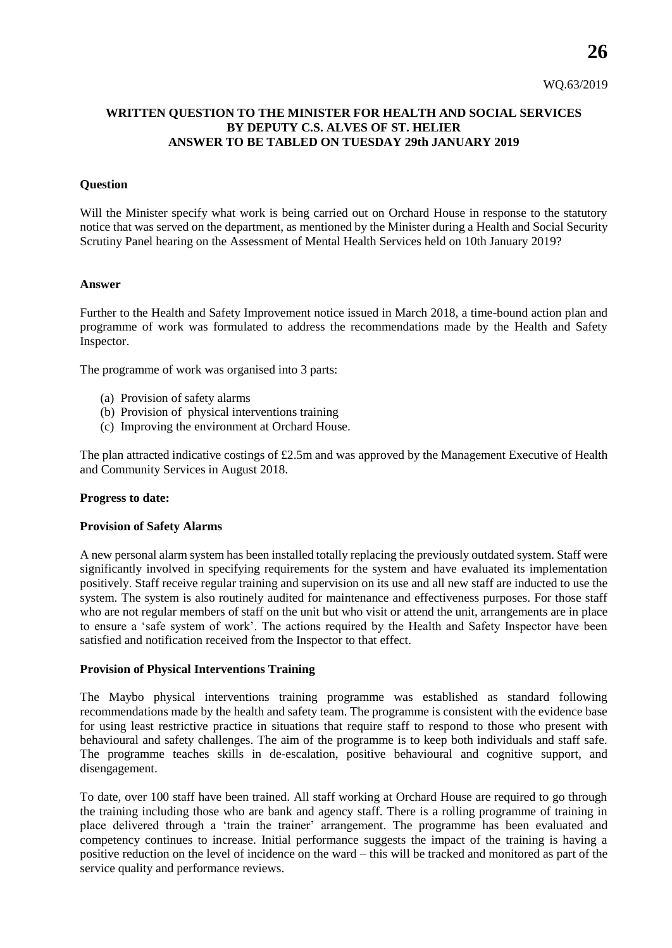**26**

# **WRITTEN QUESTION TO THE MINISTER FOR HEALTH AND SOCIAL SERVICES BY DEPUTY C.S. ALVES OF ST. HELIER ANSWER TO BE TABLED ON TUESDAY 29th JANUARY 2019**

# **Question**

Will the Minister specify what work is being carried out on Orchard House in response to the statutory notice that was served on the department, as mentioned by the Minister during a Health and Social Security Scrutiny Panel hearing on the Assessment of Mental Health Services held on 10th January 2019?

# **Answer**

Further to the Health and Safety Improvement notice issued in March 2018, a time-bound action plan and programme of work was formulated to address the recommendations made by the Health and Safety Inspector.

The programme of work was organised into 3 parts:

- (a) Provision of safety alarms
- (b) Provision of physical interventions training
- (c) Improving the environment at Orchard House.

The plan attracted indicative costings of £2.5m and was approved by the Management Executive of Health and Community Services in August 2018.

# **Progress to date:**

# **Provision of Safety Alarms**

A new personal alarm system has been installed totally replacing the previously outdated system. Staff were significantly involved in specifying requirements for the system and have evaluated its implementation positively. Staff receive regular training and supervision on its use and all new staff are inducted to use the system. The system is also routinely audited for maintenance and effectiveness purposes. For those staff who are not regular members of staff on the unit but who visit or attend the unit, arrangements are in place to ensure a 'safe system of work'. The actions required by the Health and Safety Inspector have been satisfied and notification received from the Inspector to that effect.

# **Provision of Physical Interventions Training**

The Maybo physical interventions training programme was established as standard following recommendations made by the health and safety team. The programme is consistent with the evidence base for using least restrictive practice in situations that require staff to respond to those who present with behavioural and safety challenges. The aim of the programme is to keep both individuals and staff safe. The programme teaches skills in de-escalation, positive behavioural and cognitive support, and disengagement.

To date, over 100 staff have been trained. All staff working at Orchard House are required to go through the training including those who are bank and agency staff. There is a rolling programme of training in place delivered through a 'train the trainer' arrangement. The programme has been evaluated and competency continues to increase. Initial performance suggests the impact of the training is having a positive reduction on the level of incidence on the ward – this will be tracked and monitored as part of the service quality and performance reviews.